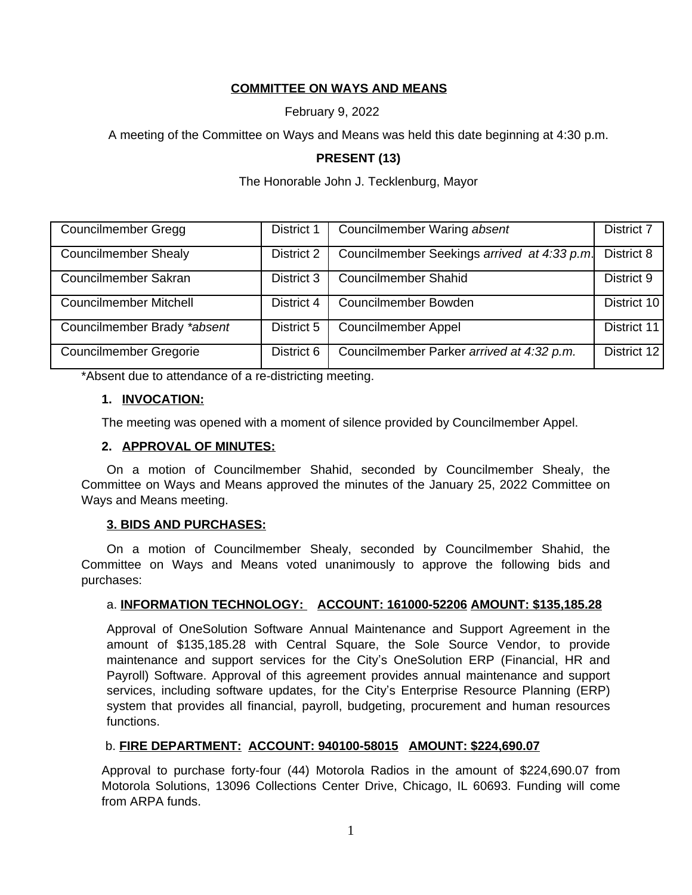## **COMMITTEE ON WAYS AND MEANS**

February 9, 2022

A meeting of the Committee on Ways and Means was held this date beginning at 4:30 p.m.

### **PRESENT (13)**

The Honorable John J. Tecklenburg, Mayor

| Councilmember Gregg           | <b>District 1</b> | Councilmember Waring absent                 | District 7  |
|-------------------------------|-------------------|---------------------------------------------|-------------|
| <b>Councilmember Shealy</b>   | District 2        | Councilmember Seekings arrived at 4:33 p.m. | District 8  |
| Councilmember Sakran          | District 3        | <b>Councilmember Shahid</b>                 | District 9  |
| <b>Councilmember Mitchell</b> | District 4        | Councilmember Bowden                        | District 10 |
| Councilmember Brady *absent   | District 5        | <b>Councilmember Appel</b>                  | District 11 |
| <b>Councilmember Gregorie</b> | District 6        | Councilmember Parker arrived at 4:32 p.m.   | District 12 |

\*Absent due to attendance of a re-districting meeting.

### **1. INVOCATION:**

The meeting was opened with a moment of silence provided by Councilmember Appel.

## **2. APPROVAL OF MINUTES:**

On a motion of Councilmember Shahid, seconded by Councilmember Shealy, the Committee on Ways and Means approved the minutes of the January 25, 2022 Committee on Ways and Means meeting.

### **3. BIDS AND PURCHASES:**

On a motion of Councilmember Shealy, seconded by Councilmember Shahid, the Committee on Ways and Means voted unanimously to approve the following bids and purchases:

### a. **INFORMATION TECHNOLOGY: ACCOUNT: 161000-52206 AMOUNT: \$135,185.28**

Approval of OneSolution Software Annual Maintenance and Support Agreement in the amount of \$135,185.28 with Central Square, the Sole Source Vendor, to provide maintenance and support services for the City's OneSolution ERP (Financial, HR and Payroll) Software. Approval of this agreement provides annual maintenance and support services, including software updates, for the City's Enterprise Resource Planning (ERP) system that provides all financial, payroll, budgeting, procurement and human resources functions.

### b. **FIRE DEPARTMENT: ACCOUNT: 940100-58015 AMOUNT: \$224,690.07**

Approval to purchase forty-four (44) Motorola Radios in the amount of \$224,690.07 from Motorola Solutions, 13096 Collections Center Drive, Chicago, IL 60693. Funding will come from ARPA funds.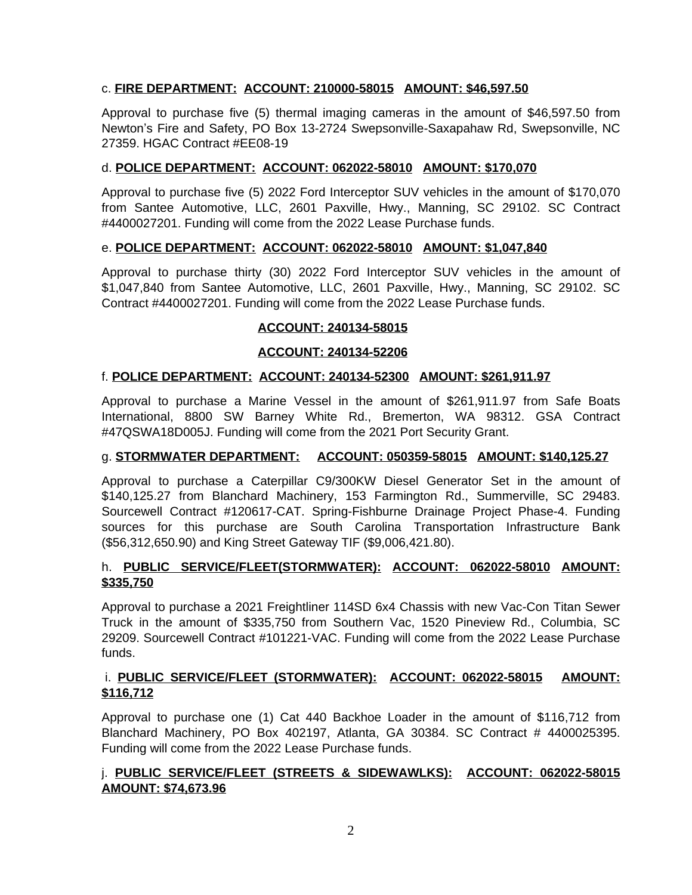## c. **FIRE DEPARTMENT: ACCOUNT: 210000-58015 AMOUNT: \$46,597.50**

Approval to purchase five (5) thermal imaging cameras in the amount of \$46,597.50 from Newton's Fire and Safety, PO Box 13-2724 Swepsonville-Saxapahaw Rd, Swepsonville, NC 27359. HGAC Contract #EE08-19

## d. **POLICE DEPARTMENT: ACCOUNT: 062022-58010 AMOUNT: \$170,070**

Approval to purchase five (5) 2022 Ford Interceptor SUV vehicles in the amount of \$170,070 from Santee Automotive, LLC, 2601 Paxville, Hwy., Manning, SC 29102. SC Contract #4400027201. Funding will come from the 2022 Lease Purchase funds.

## e. **POLICE DEPARTMENT: ACCOUNT: 062022-58010 AMOUNT: \$1,047,840**

Approval to purchase thirty (30) 2022 Ford Interceptor SUV vehicles in the amount of \$1,047,840 from Santee Automotive, LLC, 2601 Paxville, Hwy., Manning, SC 29102. SC Contract #4400027201. Funding will come from the 2022 Lease Purchase funds.

## **ACCOUNT: 240134-58015**

## **ACCOUNT: 240134-52206**

### f. **POLICE DEPARTMENT: ACCOUNT: 240134-52300 AMOUNT: \$261,911.97**

Approval to purchase a Marine Vessel in the amount of \$261,911.97 from Safe Boats International, 8800 SW Barney White Rd., Bremerton, WA 98312. GSA Contract #47QSWA18D005J. Funding will come from the 2021 Port Security Grant.

### g. **STORMWATER DEPARTMENT: ACCOUNT: 050359-58015 AMOUNT: \$140,125.27**

Approval to purchase a Caterpillar C9/300KW Diesel Generator Set in the amount of \$140,125.27 from Blanchard Machinery, 153 Farmington Rd., Summerville, SC 29483. Sourcewell Contract #120617-CAT. Spring-Fishburne Drainage Project Phase-4. Funding sources for this purchase are South Carolina Transportation Infrastructure Bank (\$56,312,650.90) and King Street Gateway TIF (\$9,006,421.80).

## h. **PUBLIC SERVICE/FLEET(STORMWATER): ACCOUNT: 062022-58010 AMOUNT: \$335,750**

Approval to purchase a 2021 Freightliner 114SD 6x4 Chassis with new Vac-Con Titan Sewer Truck in the amount of \$335,750 from Southern Vac, 1520 Pineview Rd., Columbia, SC 29209. Sourcewell Contract #101221-VAC. Funding will come from the 2022 Lease Purchase funds.

## i. **PUBLIC SERVICE/FLEET (STORMWATER): ACCOUNT: 062022-58015 AMOUNT: \$116,712**

Approval to purchase one (1) Cat 440 Backhoe Loader in the amount of \$116,712 from Blanchard Machinery, PO Box 402197, Atlanta, GA 30384. SC Contract # 4400025395. Funding will come from the 2022 Lease Purchase funds.

## j. **PUBLIC SERVICE/FLEET (STREETS & SIDEWAWLKS): ACCOUNT: 062022-58015 AMOUNT: \$74,673.96**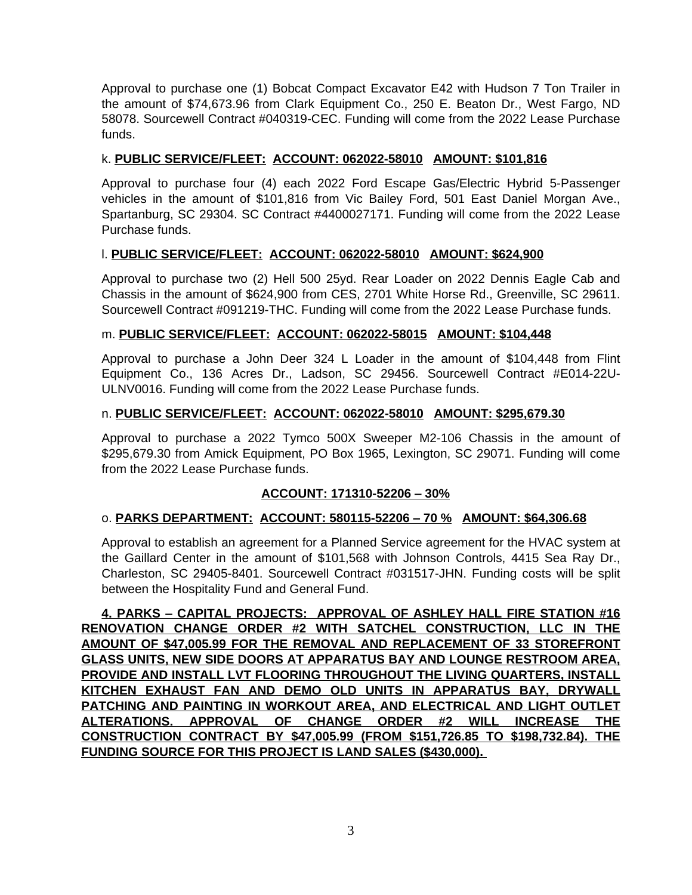Approval to purchase one (1) Bobcat Compact Excavator E42 with Hudson 7 Ton Trailer in the amount of \$74,673.96 from Clark Equipment Co., 250 E. Beaton Dr., West Fargo, ND 58078. Sourcewell Contract #040319-CEC. Funding will come from the 2022 Lease Purchase funds.

### k. **PUBLIC SERVICE/FLEET: ACCOUNT: 062022-58010 AMOUNT: \$101,816**

Approval to purchase four (4) each 2022 Ford Escape Gas/Electric Hybrid 5-Passenger vehicles in the amount of \$101,816 from Vic Bailey Ford, 501 East Daniel Morgan Ave., Spartanburg, SC 29304. SC Contract #4400027171. Funding will come from the 2022 Lease Purchase funds.

## l. **PUBLIC SERVICE/FLEET: ACCOUNT: 062022-58010 AMOUNT: \$624,900**

Approval to purchase two (2) Hell 500 25yd. Rear Loader on 2022 Dennis Eagle Cab and Chassis in the amount of \$624,900 from CES, 2701 White Horse Rd., Greenville, SC 29611. Sourcewell Contract #091219-THC. Funding will come from the 2022 Lease Purchase funds.

### m. **PUBLIC SERVICE/FLEET: ACCOUNT: 062022-58015 AMOUNT: \$104,448**

Approval to purchase a John Deer 324 L Loader in the amount of \$104,448 from Flint Equipment Co., 136 Acres Dr., Ladson, SC 29456. Sourcewell Contract #E014-22U-ULNV0016. Funding will come from the 2022 Lease Purchase funds.

### n. **PUBLIC SERVICE/FLEET: ACCOUNT: 062022-58010 AMOUNT: \$295,679.30**

Approval to purchase a 2022 Tymco 500X Sweeper M2-106 Chassis in the amount of \$295,679.30 from Amick Equipment, PO Box 1965, Lexington, SC 29071. Funding will come from the 2022 Lease Purchase funds.

### **ACCOUNT: 171310-52206 – 30%**

### o. **PARKS DEPARTMENT: ACCOUNT: 580115-52206 – 70 % AMOUNT: \$64,306.68**

Approval to establish an agreement for a Planned Service agreement for the HVAC system at the Gaillard Center in the amount of \$101,568 with Johnson Controls, 4415 Sea Ray Dr., Charleston, SC 29405-8401. Sourcewell Contract #031517-JHN. Funding costs will be split between the Hospitality Fund and General Fund.

**4. PARKS – CAPITAL PROJECTS: APPROVAL OF ASHLEY HALL FIRE STATION #16 RENOVATION CHANGE ORDER #2 WITH SATCHEL CONSTRUCTION, LLC IN THE AMOUNT OF \$47,005.99 FOR THE REMOVAL AND REPLACEMENT OF 33 STOREFRONT GLASS UNITS, NEW SIDE DOORS AT APPARATUS BAY AND LOUNGE RESTROOM AREA, PROVIDE AND INSTALL LVT FLOORING THROUGHOUT THE LIVING QUARTERS, INSTALL KITCHEN EXHAUST FAN AND DEMO OLD UNITS IN APPARATUS BAY, DRYWALL PATCHING AND PAINTING IN WORKOUT AREA, AND ELECTRICAL AND LIGHT OUTLET ALTERATIONS. APPROVAL OF CHANGE ORDER #2 WILL INCREASE THE CONSTRUCTION CONTRACT BY \$47,005.99 (FROM \$151,726.85 TO \$198,732.84). THE FUNDING SOURCE FOR THIS PROJECT IS LAND SALES (\$430,000).**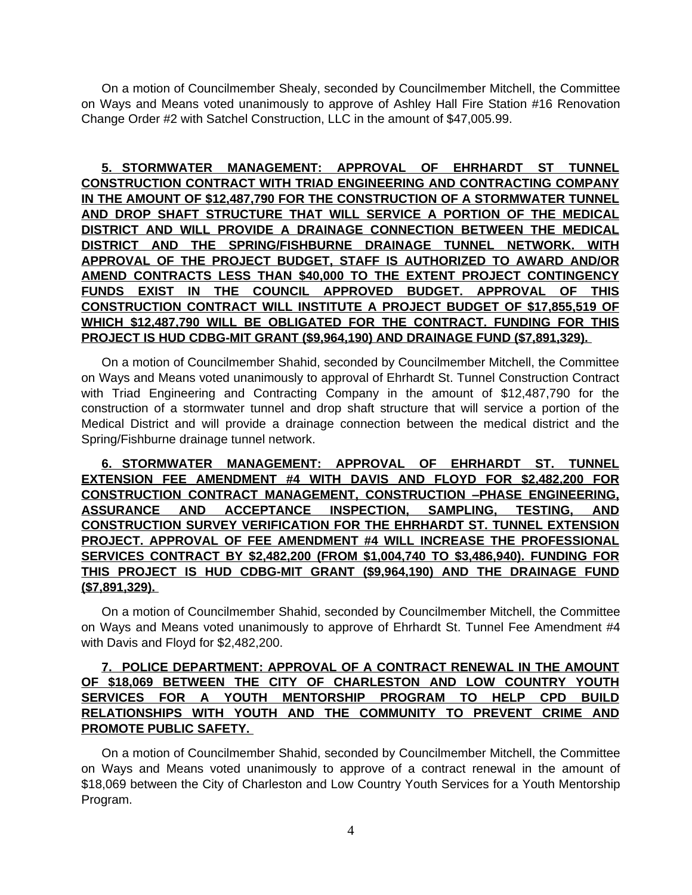On a motion of Councilmember Shealy, seconded by Councilmember Mitchell, the Committee on Ways and Means voted unanimously to approve of Ashley Hall Fire Station #16 Renovation Change Order #2 with Satchel Construction, LLC in the amount of \$47,005.99.

**5. STORMWATER MANAGEMENT: APPROVAL OF EHRHARDT ST TUNNEL CONSTRUCTION CONTRACT WITH TRIAD ENGINEERING AND CONTRACTING COMPANY IN THE AMOUNT OF \$12,487,790 FOR THE CONSTRUCTION OF A STORMWATER TUNNEL AND DROP SHAFT STRUCTURE THAT WILL SERVICE A PORTION OF THE MEDICAL DISTRICT AND WILL PROVIDE A DRAINAGE CONNECTION BETWEEN THE MEDICAL DISTRICT AND THE SPRING/FISHBURNE DRAINAGE TUNNEL NETWORK. WITH APPROVAL OF THE PROJECT BUDGET, STAFF IS AUTHORIZED TO AWARD AND/OR AMEND CONTRACTS LESS THAN \$40,000 TO THE EXTENT PROJECT CONTINGENCY FUNDS EXIST IN THE COUNCIL APPROVED BUDGET. APPROVAL OF THIS CONSTRUCTION CONTRACT WILL INSTITUTE A PROJECT BUDGET OF \$17,855,519 OF WHICH \$12,487,790 WILL BE OBLIGATED FOR THE CONTRACT. FUNDING FOR THIS PROJECT IS HUD CDBG-MIT GRANT (\$9,964,190) AND DRAINAGE FUND (\$7,891,329).** 

On a motion of Councilmember Shahid, seconded by Councilmember Mitchell, the Committee on Ways and Means voted unanimously to approval of Ehrhardt St. Tunnel Construction Contract with Triad Engineering and Contracting Company in the amount of \$12,487,790 for the construction of a stormwater tunnel and drop shaft structure that will service a portion of the Medical District and will provide a drainage connection between the medical district and the Spring/Fishburne drainage tunnel network.

**6. STORMWATER MANAGEMENT: APPROVAL OF EHRHARDT ST. TUNNEL EXTENSION FEE AMENDMENT #4 WITH DAVIS AND FLOYD FOR \$2,482,200 FOR CONSTRUCTION CONTRACT MANAGEMENT, CONSTRUCTION –PHASE ENGINEERING, ASSURANCE AND ACCEPTANCE INSPECTION, SAMPLING, TESTING, AND CONSTRUCTION SURVEY VERIFICATION FOR THE EHRHARDT ST. TUNNEL EXTENSION PROJECT. APPROVAL OF FEE AMENDMENT #4 WILL INCREASE THE PROFESSIONAL SERVICES CONTRACT BY \$2,482,200 (FROM \$1,004,740 TO \$3,486,940). FUNDING FOR THIS PROJECT IS HUD CDBG-MIT GRANT (\$9,964,190) AND THE DRAINAGE FUND (\$7,891,329).** 

On a motion of Councilmember Shahid, seconded by Councilmember Mitchell, the Committee on Ways and Means voted unanimously to approve of Ehrhardt St. Tunnel Fee Amendment #4 with Davis and Floyd for \$2,482,200.

## **7. POLICE DEPARTMENT: APPROVAL OF A CONTRACT RENEWAL IN THE AMOUNT OF \$18,069 BETWEEN THE CITY OF CHARLESTON AND LOW COUNTRY YOUTH SERVICES FOR A YOUTH MENTORSHIP PROGRAM TO HELP CPD BUILD RELATIONSHIPS WITH YOUTH AND THE COMMUNITY TO PREVENT CRIME AND PROMOTE PUBLIC SAFETY.**

On a motion of Councilmember Shahid, seconded by Councilmember Mitchell, the Committee on Ways and Means voted unanimously to approve of a contract renewal in the amount of \$18,069 between the City of Charleston and Low Country Youth Services for a Youth Mentorship Program.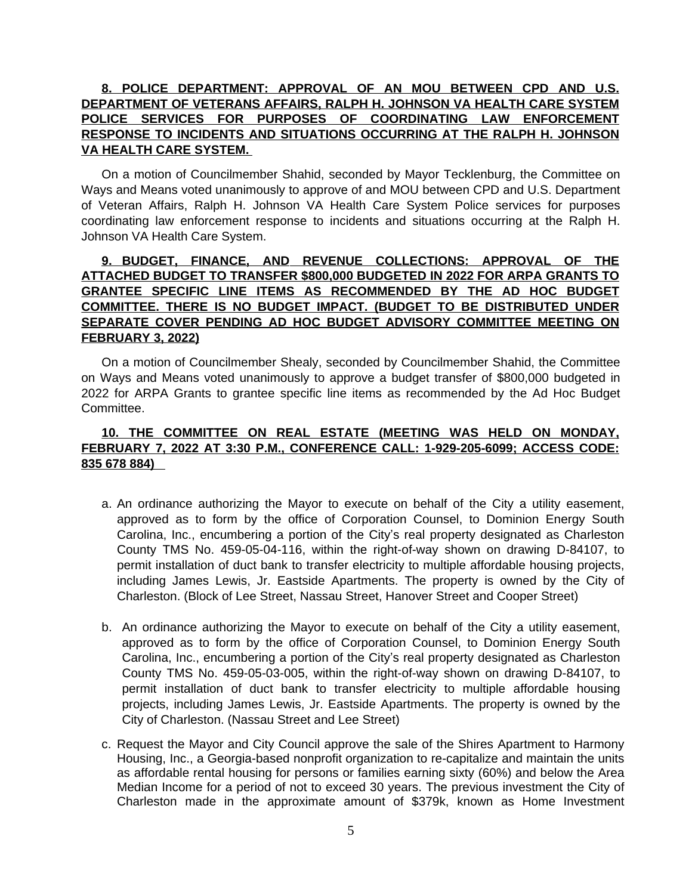# **8. POLICE DEPARTMENT: APPROVAL OF AN MOU BETWEEN CPD AND U.S. DEPARTMENT OF VETERANS AFFAIRS, RALPH H. JOHNSON VA HEALTH CARE SYSTEM POLICE SERVICES FOR PURPOSES OF COORDINATING LAW ENFORCEMENT RESPONSE TO INCIDENTS AND SITUATIONS OCCURRING AT THE RALPH H. JOHNSON VA HEALTH CARE SYSTEM.**

On a motion of Councilmember Shahid, seconded by Mayor Tecklenburg, the Committee on Ways and Means voted unanimously to approve of and MOU between CPD and U.S. Department of Veteran Affairs, Ralph H. Johnson VA Health Care System Police services for purposes coordinating law enforcement response to incidents and situations occurring at the Ralph H. Johnson VA Health Care System.

## **9. BUDGET, FINANCE, AND REVENUE COLLECTIONS: APPROVAL OF THE ATTACHED BUDGET TO TRANSFER \$800,000 BUDGETED IN 2022 FOR ARPA GRANTS TO GRANTEE SPECIFIC LINE ITEMS AS RECOMMENDED BY THE AD HOC BUDGET COMMITTEE. THERE IS NO BUDGET IMPACT. (BUDGET TO BE DISTRIBUTED UNDER SEPARATE COVER PENDING AD HOC BUDGET ADVISORY COMMITTEE MEETING ON FEBRUARY 3, 2022)**

On a motion of Councilmember Shealy, seconded by Councilmember Shahid, the Committee on Ways and Means voted unanimously to approve a budget transfer of \$800,000 budgeted in 2022 for ARPA Grants to grantee specific line items as recommended by the Ad Hoc Budget Committee.

### **10. THE COMMITTEE ON REAL ESTATE (MEETING WAS HELD ON MONDAY, FEBRUARY 7, 2022 AT 3:30 P.M., CONFERENCE CALL: 1-929-205-6099; ACCESS CODE: 835 678 884)**

- a. An ordinance authorizing the Mayor to execute on behalf of the City a utility easement, approved as to form by the office of Corporation Counsel, to Dominion Energy South Carolina, Inc., encumbering a portion of the City's real property designated as Charleston County TMS No. 459-05-04-116, within the right-of-way shown on drawing D-84107, to permit installation of duct bank to transfer electricity to multiple affordable housing projects, including James Lewis, Jr. Eastside Apartments. The property is owned by the City of Charleston. (Block of Lee Street, Nassau Street, Hanover Street and Cooper Street)
- b. An ordinance authorizing the Mayor to execute on behalf of the City a utility easement, approved as to form by the office of Corporation Counsel, to Dominion Energy South Carolina, Inc., encumbering a portion of the City's real property designated as Charleston County TMS No. 459-05-03-005, within the right-of-way shown on drawing D-84107, to permit installation of duct bank to transfer electricity to multiple affordable housing projects, including James Lewis, Jr. Eastside Apartments. The property is owned by the City of Charleston. (Nassau Street and Lee Street)
- c. Request the Mayor and City Council approve the sale of the Shires Apartment to Harmony Housing, Inc., a Georgia-based nonprofit organization to re-capitalize and maintain the units as affordable rental housing for persons or families earning sixty (60%) and below the Area Median Income for a period of not to exceed 30 years. The previous investment the City of Charleston made in the approximate amount of \$379k, known as Home Investment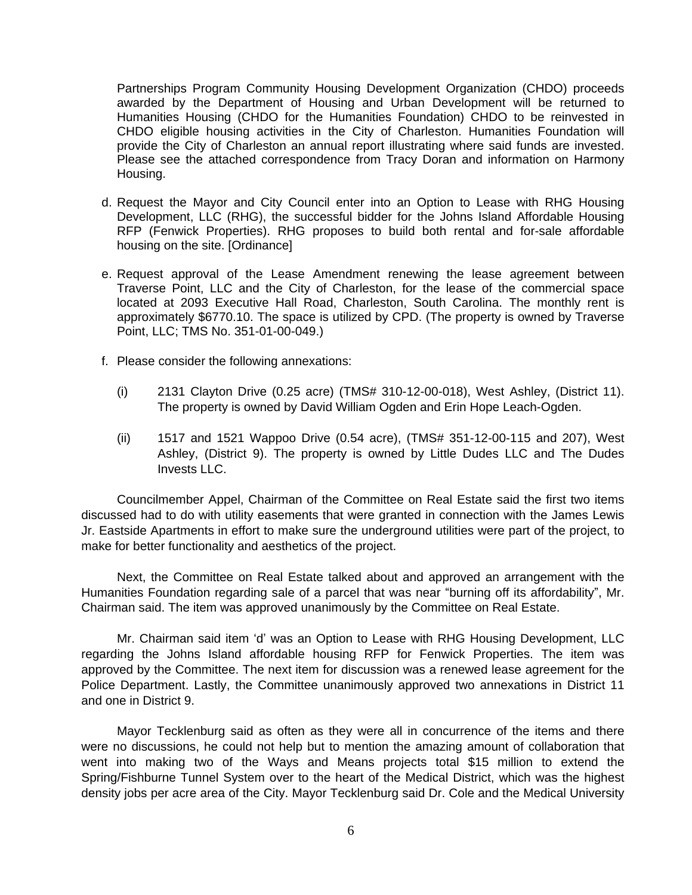Partnerships Program Community Housing Development Organization (CHDO) proceeds awarded by the Department of Housing and Urban Development will be returned to Humanities Housing (CHDO for the Humanities Foundation) CHDO to be reinvested in CHDO eligible housing activities in the City of Charleston. Humanities Foundation will provide the City of Charleston an annual report illustrating where said funds are invested. Please see the attached correspondence from Tracy Doran and information on Harmony Housing.

- d. Request the Mayor and City Council enter into an Option to Lease with RHG Housing Development, LLC (RHG), the successful bidder for the Johns Island Affordable Housing RFP (Fenwick Properties). RHG proposes to build both rental and for-sale affordable housing on the site. [Ordinance]
- e. Request approval of the Lease Amendment renewing the lease agreement between Traverse Point, LLC and the City of Charleston, for the lease of the commercial space located at 2093 Executive Hall Road, Charleston, South Carolina. The monthly rent is approximately \$6770.10. The space is utilized by CPD. (The property is owned by Traverse Point, LLC; TMS No. 351-01-00-049.)
- f. Please consider the following annexations:
	- (i) 2131 Clayton Drive (0.25 acre) (TMS# 310-12-00-018), West Ashley, (District 11). The property is owned by David William Ogden and Erin Hope Leach-Ogden.
	- (ii) 1517 and 1521 Wappoo Drive (0.54 acre), (TMS# 351-12-00-115 and 207), West Ashley, (District 9). The property is owned by Little Dudes LLC and The Dudes Invests LLC.

Councilmember Appel, Chairman of the Committee on Real Estate said the first two items discussed had to do with utility easements that were granted in connection with the James Lewis Jr. Eastside Apartments in effort to make sure the underground utilities were part of the project, to make for better functionality and aesthetics of the project.

Next, the Committee on Real Estate talked about and approved an arrangement with the Humanities Foundation regarding sale of a parcel that was near "burning off its affordability", Mr. Chairman said. The item was approved unanimously by the Committee on Real Estate.

Mr. Chairman said item 'd' was an Option to Lease with RHG Housing Development, LLC regarding the Johns Island affordable housing RFP for Fenwick Properties. The item was approved by the Committee. The next item for discussion was a renewed lease agreement for the Police Department. Lastly, the Committee unanimously approved two annexations in District 11 and one in District 9.

Mayor Tecklenburg said as often as they were all in concurrence of the items and there were no discussions, he could not help but to mention the amazing amount of collaboration that went into making two of the Ways and Means projects total \$15 million to extend the Spring/Fishburne Tunnel System over to the heart of the Medical District, which was the highest density jobs per acre area of the City. Mayor Tecklenburg said Dr. Cole and the Medical University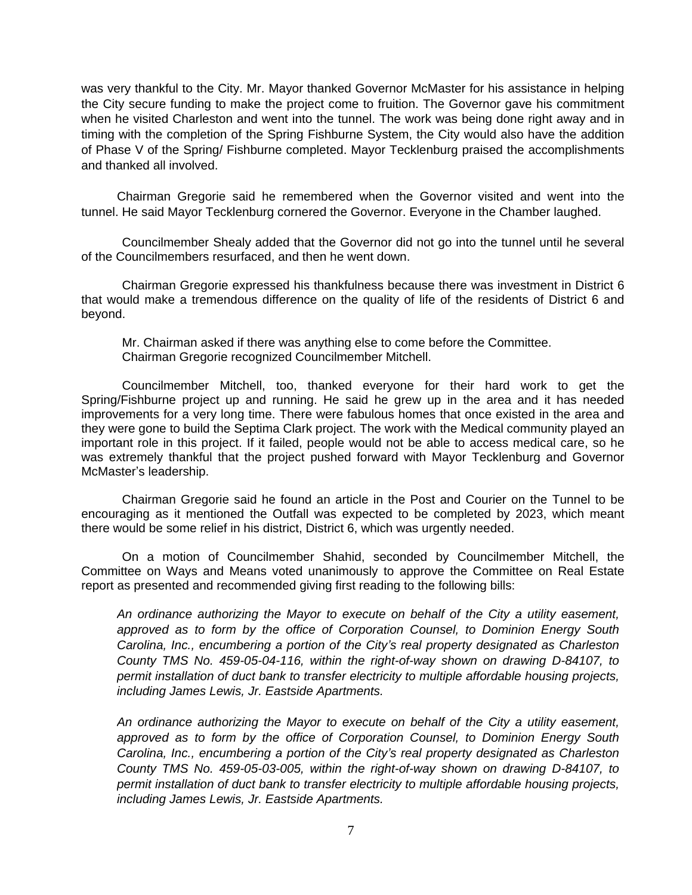was very thankful to the City. Mr. Mayor thanked Governor McMaster for his assistance in helping the City secure funding to make the project come to fruition. The Governor gave his commitment when he visited Charleston and went into the tunnel. The work was being done right away and in timing with the completion of the Spring Fishburne System, the City would also have the addition of Phase V of the Spring/ Fishburne completed. Mayor Tecklenburg praised the accomplishments and thanked all involved.

Chairman Gregorie said he remembered when the Governor visited and went into the tunnel. He said Mayor Tecklenburg cornered the Governor. Everyone in the Chamber laughed.

Councilmember Shealy added that the Governor did not go into the tunnel until he several of the Councilmembers resurfaced, and then he went down.

Chairman Gregorie expressed his thankfulness because there was investment in District 6 that would make a tremendous difference on the quality of life of the residents of District 6 and beyond.

Mr. Chairman asked if there was anything else to come before the Committee. Chairman Gregorie recognized Councilmember Mitchell.

Councilmember Mitchell, too, thanked everyone for their hard work to get the Spring/Fishburne project up and running. He said he grew up in the area and it has needed improvements for a very long time. There were fabulous homes that once existed in the area and they were gone to build the Septima Clark project. The work with the Medical community played an important role in this project. If it failed, people would not be able to access medical care, so he was extremely thankful that the project pushed forward with Mayor Tecklenburg and Governor McMaster's leadership.

Chairman Gregorie said he found an article in the Post and Courier on the Tunnel to be encouraging as it mentioned the Outfall was expected to be completed by 2023, which meant there would be some relief in his district, District 6, which was urgently needed.

On a motion of Councilmember Shahid, seconded by Councilmember Mitchell, the Committee on Ways and Means voted unanimously to approve the Committee on Real Estate report as presented and recommended giving first reading to the following bills:

*An ordinance authorizing the Mayor to execute on behalf of the City a utility easement, approved as to form by the office of Corporation Counsel, to Dominion Energy South Carolina, Inc., encumbering a portion of the City's real property designated as Charleston County TMS No. 459-05-04-116, within the right-of-way shown on drawing D-84107, to permit installation of duct bank to transfer electricity to multiple affordable housing projects, including James Lewis, Jr. Eastside Apartments.*

*An ordinance authorizing the Mayor to execute on behalf of the City a utility easement, approved as to form by the office of Corporation Counsel, to Dominion Energy South Carolina, Inc., encumbering a portion of the City's real property designated as Charleston County TMS No. 459-05-03-005, within the right-of-way shown on drawing D-84107, to permit installation of duct bank to transfer electricity to multiple affordable housing projects, including James Lewis, Jr. Eastside Apartments.*